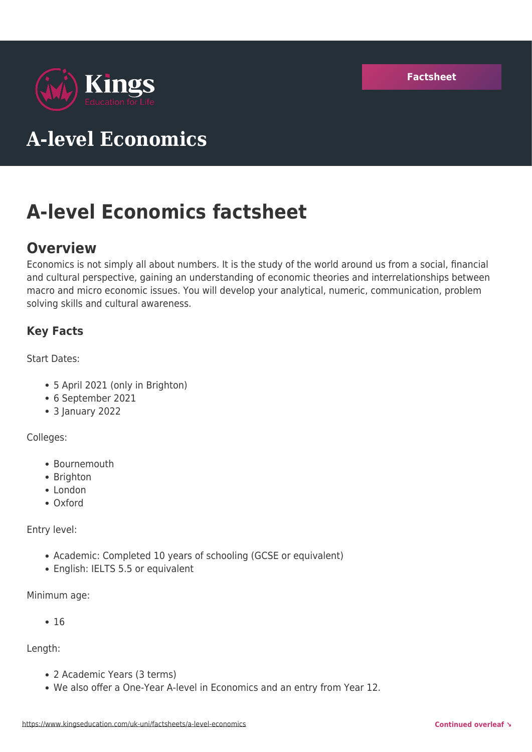

# **A-level Economics**

# **A-level Economics factsheet**

# **Overview**

Economics is not simply all about numbers. It is the study of the world around us from a social, financial and cultural perspective, gaining an understanding of economic theories and interrelationships between macro and micro economic issues. You will develop your analytical, numeric, communication, problem solving skills and cultural awareness.

# **Key Facts**

Start Dates:

- 5 April 2021 (only in Brighton)
- 6 September 2021
- 3 January 2022

#### Colleges:

- Bournemouth
- Brighton
- London
- Oxford

Entry level:

- Academic: Completed 10 years of schooling (GCSE or equivalent)
- English: IELTS 5.5 or equivalent

Minimum age:

 $• 16$ 

Length:

- 2 Academic Years (3 terms)
- We also offer a One-Year A-level in Economics and an entry from Year 12.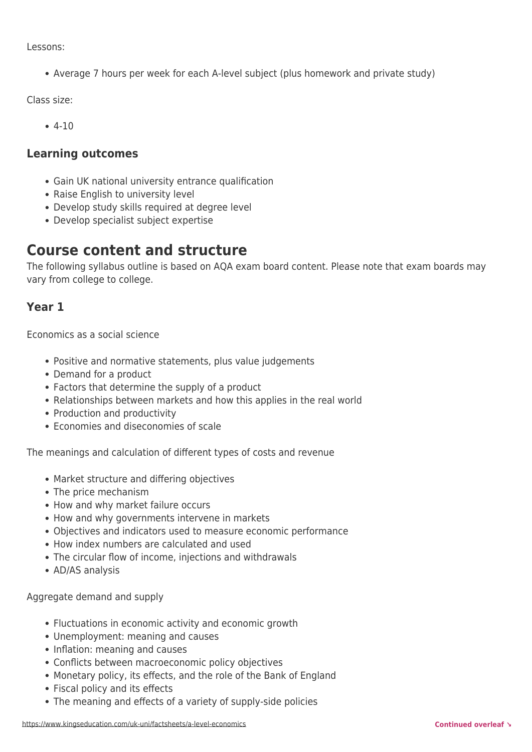Lessons:

Average 7 hours per week for each A-level subject (plus homework and private study)

Class size:

4-10

### **Learning outcomes**

- Gain UK national university entrance qualification
- Raise English to university level
- Develop study skills required at degree level
- Develop specialist subject expertise

# **Course content and structure**

The following syllabus outline is based on AQA exam board content. Please note that exam boards may vary from college to college.

# **Year 1**

Economics as a social science

- Positive and normative statements, plus value judgements
- Demand for a product
- Factors that determine the supply of a product
- Relationships between markets and how this applies in the real world
- Production and productivity
- Economies and diseconomies of scale

The meanings and calculation of different types of costs and revenue

- Market structure and differing objectives
- The price mechanism
- How and why market failure occurs
- How and why governments intervene in markets
- Objectives and indicators used to measure economic performance
- How index numbers are calculated and used
- The circular flow of income, injections and withdrawals
- AD/AS analysis

Aggregate demand and supply

- Fluctuations in economic activity and economic growth
- Unemployment: meaning and causes
- Inflation: meaning and causes
- Conflicts between macroeconomic policy objectives
- Monetary policy, its effects, and the role of the Bank of England
- Fiscal policy and its effects
- The meaning and effects of a variety of supply-side policies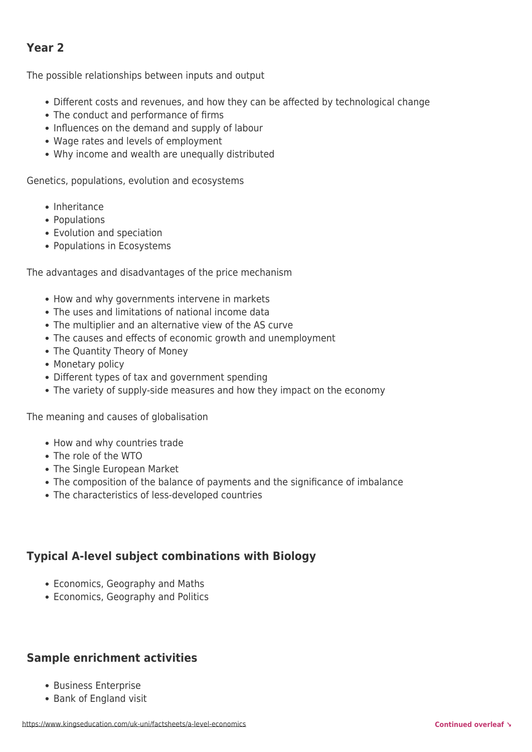# **Year 2**

The possible relationships between inputs and output

- Different costs and revenues, and how they can be affected by technological change
- The conduct and performance of firms
- Influences on the demand and supply of labour
- Wage rates and levels of employment
- Why income and wealth are unequally distributed

Genetics, populations, evolution and ecosystems

- Inheritance
- Populations
- Evolution and speciation
- Populations in Ecosystems

The advantages and disadvantages of the price mechanism

- How and why governments intervene in markets
- The uses and limitations of national income data
- The multiplier and an alternative view of the AS curve
- The causes and effects of economic growth and unemployment
- The Quantity Theory of Money
- Monetary policy
- Different types of tax and government spending
- The variety of supply-side measures and how they impact on the economy

The meaning and causes of globalisation

- How and why countries trade
- The role of the WTO
- The Single European Market
- The composition of the balance of payments and the significance of imbalance
- The characteristics of less-developed countries

#### **Typical A-level subject combinations with Biology**

- Economics, Geography and Maths
- Economics, Geography and Politics

# **Sample enrichment activities**

- Business Enterprise
- Bank of England visit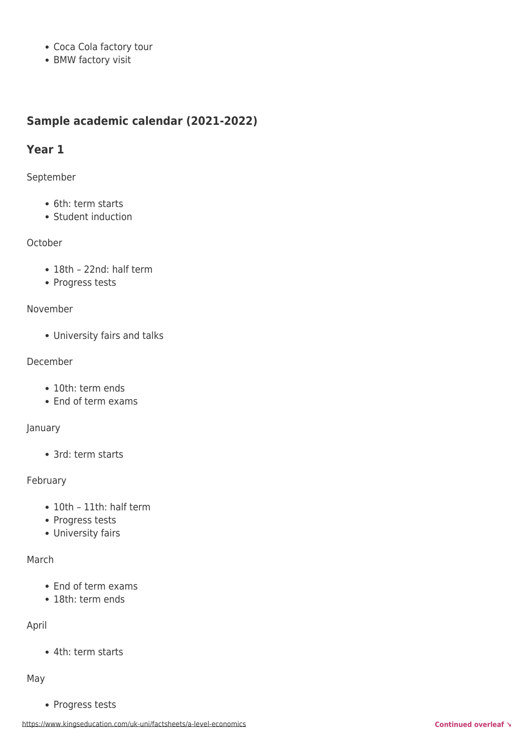- Coca Cola factory tour
- BMW factory visit

# **Sample academic calendar (2021-2022)**

## **Year 1**

#### September

- 6th: term starts
- Student induction

#### October

- 18th 22nd: half term
- Progress tests

#### November

University fairs and talks

#### December

- 10th: term ends
- End of term exams

#### January

3rd: term starts

#### February

- 10th 11th: half term
- Progress tests
- University fairs

#### March

- End of term exams
- 18th: term ends

#### April

4th: term starts

#### May

• Progress tests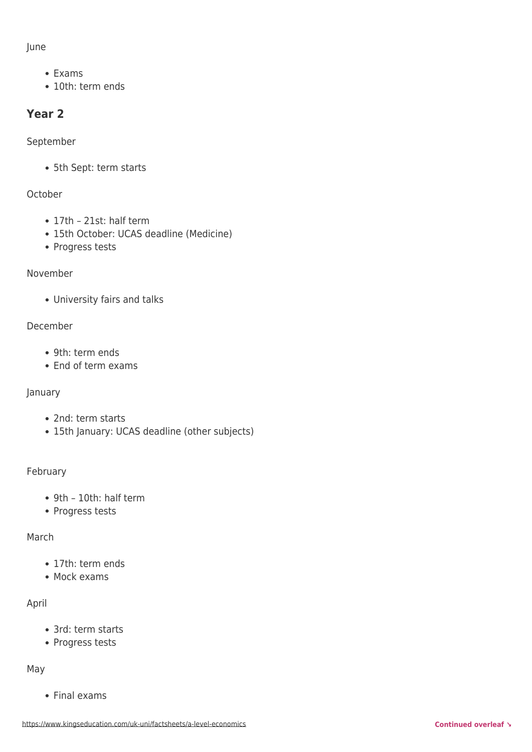June

- Exams
- 10th: term ends

# **Year 2**

September

• 5th Sept: term starts

# October

- 17th 21st: half term
- 15th October: UCAS deadline (Medicine)
- Progress tests

November

University fairs and talks

### December

- 9th: term ends
- End of term exams

#### January

- 2nd: term starts
- 15th January: UCAS deadline (other subjects)

#### February

- 9th 10th: half term
- Progress tests

#### March

- 17th: term ends
- Mock exams

# April

- 3rd: term starts
- Progress tests

May

Final exams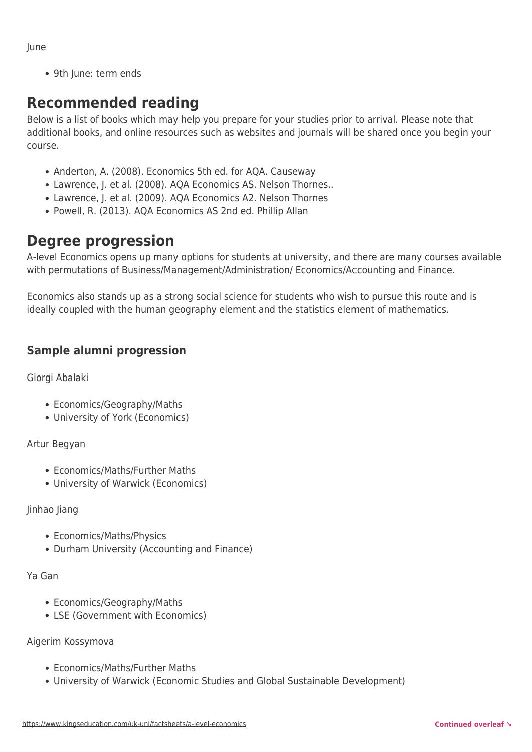June

• 9th June: term ends

# **Recommended reading**

Below is a list of books which may help you prepare for your studies prior to arrival. Please note that additional books, and online resources such as websites and journals will be shared once you begin your course.

- Anderton, A. (2008). Economics 5th ed. for AQA. Causeway
- Lawrence, J. et al. (2008). AQA Economics AS. Nelson Thornes..
- Lawrence, J. et al. (2009). AQA Economics A2. Nelson Thornes
- Powell, R. (2013). AQA Economics AS 2nd ed. Phillip Allan

# **Degree progression**

A-level Economics opens up many options for students at university, and there are many courses available with permutations of Business/Management/Administration/ Economics/Accounting and Finance.

Economics also stands up as a strong social science for students who wish to pursue this route and is ideally coupled with the human geography element and the statistics element of mathematics.

# **Sample alumni progression**

Giorgi Abalaki

- Economics/Geography/Maths
- University of York (Economics)

Artur Begyan

- Economics/Maths/Further Maths
- University of Warwick (Economics)

#### Jinhao Jiang

- Economics/Maths/Physics
- Durham University (Accounting and Finance)

Ya Gan

- Economics/Geography/Maths
- LSE (Government with Economics)

#### Aigerim Kossymova

- Economics/Maths/Further Maths
- University of Warwick (Economic Studies and Global Sustainable Development)